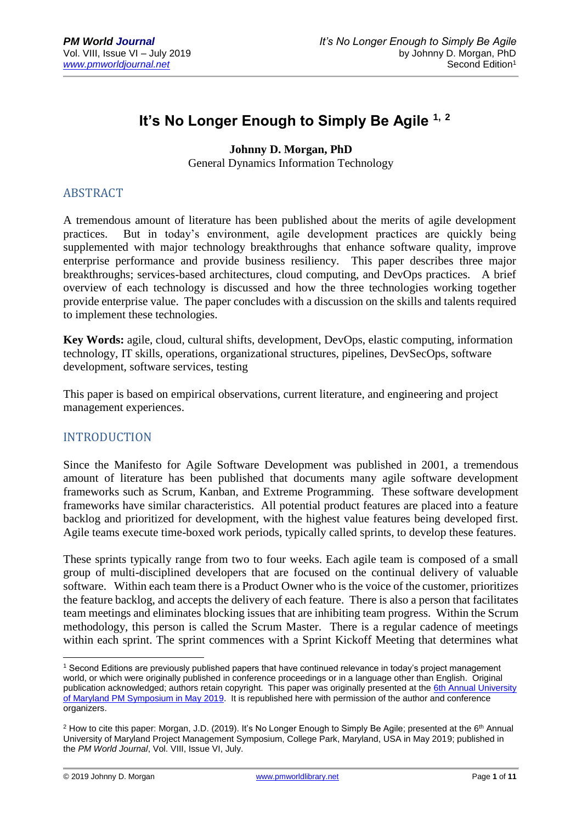# **It's No Longer Enough to Simply Be Agile 1, <sup>2</sup>**

**Johnny D. Morgan, PhD**

General Dynamics Information Technology

#### ABSTRACT

A tremendous amount of literature has been published about the merits of agile development practices. But in today's environment, agile development practices are quickly being supplemented with major technology breakthroughs that enhance software quality, improve enterprise performance and provide business resiliency. This paper describes three major breakthroughs; services-based architectures, cloud computing, and DevOps practices. A brief overview of each technology is discussed and how the three technologies working together provide enterprise value. The paper concludes with a discussion on the skills and talents required to implement these technologies.

**Key Words:** agile, cloud, cultural shifts, development, DevOps, elastic computing, information technology, IT skills, operations, organizational structures, pipelines, DevSecOps, software development, software services, testing

This paper is based on empirical observations, current literature, and engineering and project management experiences.

## INTRODUCTION

Since the Manifesto for Agile Software Development was published in 2001, a tremendous amount of literature has been published that documents many agile software development frameworks such as Scrum, Kanban, and Extreme Programming. These software development frameworks have similar characteristics. All potential product features are placed into a feature backlog and prioritized for development, with the highest value features being developed first. Agile teams execute time-boxed work periods, typically called sprints, to develop these features.

These sprints typically range from two to four weeks. Each agile team is composed of a small group of multi-disciplined developers that are focused on the continual delivery of valuable software. Within each team there is a Product Owner who is the voice of the customer, prioritizes the feature backlog, and accepts the delivery of each feature. There is also a person that facilitates team meetings and eliminates blocking issues that are inhibiting team progress. Within the Scrum methodology, this person is called the Scrum Master. There is a regular cadence of meetings within each sprint. The sprint commences with a Sprint Kickoff Meeting that determines what

<u>.</u>

<sup>&</sup>lt;sup>1</sup> Second Editions are previously published papers that have continued relevance in today's project management world, or which were originally published in conference proceedings or in a language other than English. Original publication acknowledged; authors retain copyright. This paper was originally presented at the 6th [Annual University](https://pmsymposium.umd.edu/pm2019/)  [of Maryland PM Symposium in May 2019.](https://pmsymposium.umd.edu/pm2019/) It is republished here with permission of the author and conference organizers.

<sup>&</sup>lt;sup>2</sup> How to cite this paper: Morgan, J.D. (2019). It's No Longer Enough to Simply Be Agile; presented at the 6<sup>th</sup> Annual University of Maryland Project Management Symposium, College Park, Maryland, USA in May 2019; published in the *PM World Journal*, Vol. VIII, Issue VI, July.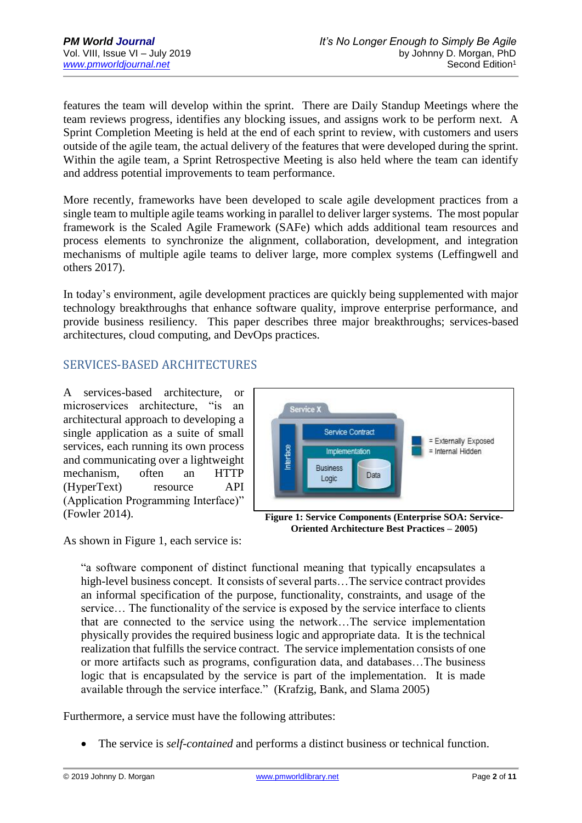features the team will develop within the sprint. There are Daily Standup Meetings where the team reviews progress, identifies any blocking issues, and assigns work to be perform next. A Sprint Completion Meeting is held at the end of each sprint to review, with customers and users outside of the agile team, the actual delivery of the features that were developed during the sprint. Within the agile team, a Sprint Retrospective Meeting is also held where the team can identify and address potential improvements to team performance.

More recently, frameworks have been developed to scale agile development practices from a single team to multiple agile teams working in parallel to deliver larger systems. The most popular framework is the Scaled Agile Framework (SAFe) which adds additional team resources and process elements to synchronize the alignment, collaboration, development, and integration mechanisms of multiple agile teams to deliver large, more complex systems (Leffingwell and others 2017).

In today's environment, agile development practices are quickly being supplemented with major technology breakthroughs that enhance software quality, improve enterprise performance, and provide business resiliency. This paper describes three major breakthroughs; services-based architectures, cloud computing, and DevOps practices.

## SERVICES-BASED ARCHITECTURES

A services-based architecture, or microservices architecture, "is an architectural approach to developing a single application as a suite of small services, each running its own process and communicating over a lightweight mechanism, often an HTTP (HyperText) resource API (Application Programming Interface)" (Fowler 2014).



**Figure 1: Service Components (Enterprise SOA: Service-Oriented Architecture Best Practices – 2005)**

As shown in Figure 1, each service is:

"a software component of distinct functional meaning that typically encapsulates a high-level business concept. It consists of several parts...The service contract provides an informal specification of the purpose, functionality, constraints, and usage of the service… The functionality of the service is exposed by the service interface to clients that are connected to the service using the network…The service implementation physically provides the required business logic and appropriate data. It is the technical realization that fulfills the service contract. The service implementation consists of one or more artifacts such as programs, configuration data, and databases…The business logic that is encapsulated by the service is part of the implementation. It is made available through the service interface." (Krafzig, Bank, and Slama 2005)

Furthermore, a service must have the following attributes:

• The service is *self-contained* and performs a distinct business or technical function.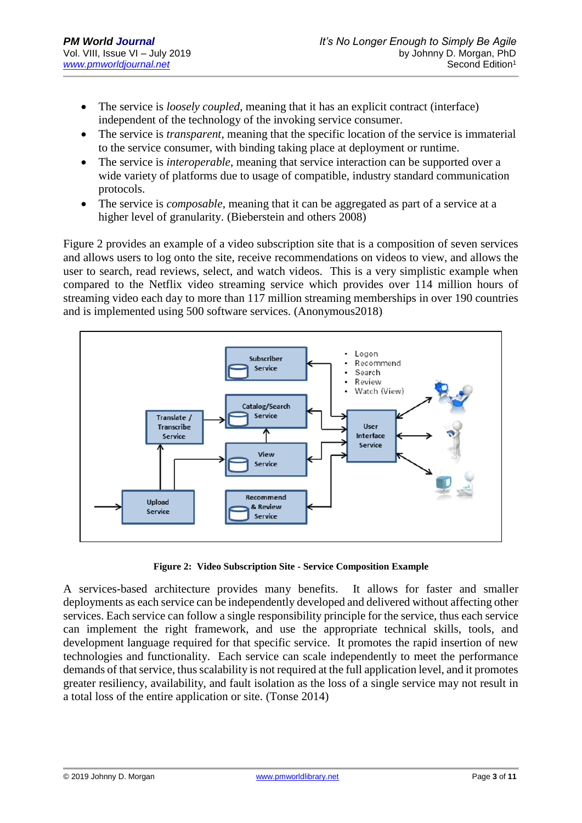- The service is *loosely coupled*, meaning that it has an explicit contract (interface) independent of the technology of the invoking service consumer.
- The service is *transparent*, meaning that the specific location of the service is immaterial to the service consumer, with binding taking place at deployment or runtime.
- The service is *interoperable*, meaning that service interaction can be supported over a wide variety of platforms due to usage of compatible, industry standard communication protocols.
- The service is *composable*, meaning that it can be aggregated as part of a service at a higher level of granularity. (Bieberstein and others 2008)

Figure 2 provides an example of a video subscription site that is a composition of seven services and allows users to log onto the site, receive recommendations on videos to view, and allows the user to search, read reviews, select, and watch videos. This is a very simplistic example when compared to the Netflix video streaming service which provides over 114 million hours of streaming video each day to more than 117 million streaming memberships in over 190 countries and is implemented using 500 software services. (Anonymous2018)



**Figure 2: Video Subscription Site - Service Composition Example**

A services-based architecture provides many benefits. It allows for faster and smaller deployments as each service can be independently developed and delivered without affecting other services. Each service can follow a single responsibility principle for the service, thus each service can implement the right framework, and use the appropriate technical skills, tools, and development language required for that specific service. It promotes the rapid insertion of new technologies and functionality. Each service can scale independently to meet the performance demands of that service, thus scalability is not required at the full application level, and it promotes greater resiliency, availability, and fault isolation as the loss of a single service may not result in a total loss of the entire application or site. (Tonse 2014)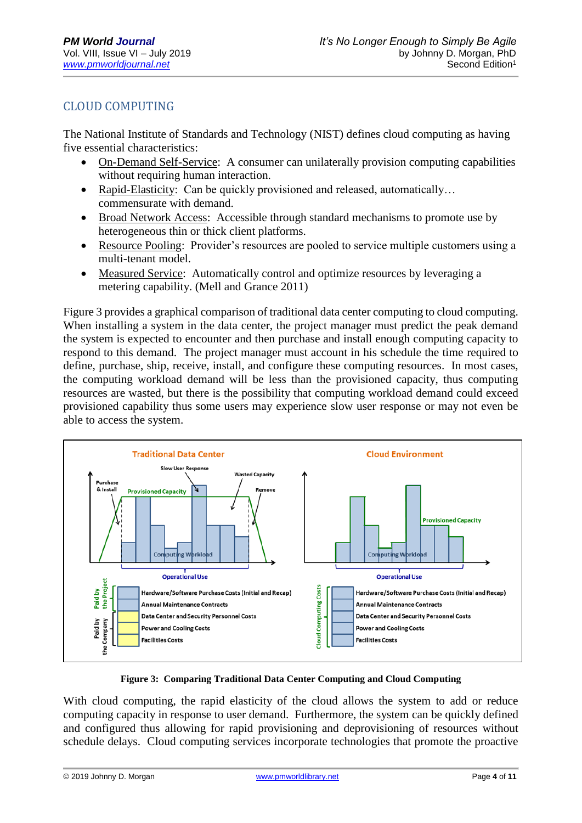# CLOUD COMPUTING

The National Institute of Standards and Technology (NIST) defines cloud computing as having five essential characteristics:

- On-Demand Self-Service: A consumer can unilaterally provision computing capabilities without requiring human interaction.
- Rapid-Elasticity: Can be quickly provisioned and released, automatically... commensurate with demand.
- Broad Network Access: Accessible through standard mechanisms to promote use by heterogeneous thin or thick client platforms.
- Resource Pooling: Provider's resources are pooled to service multiple customers using a multi-tenant model.
- Measured Service: Automatically control and optimize resources by leveraging a metering capability. (Mell and Grance 2011)

Figure 3 provides a graphical comparison of traditional data center computing to cloud computing. When installing a system in the data center, the project manager must predict the peak demand the system is expected to encounter and then purchase and install enough computing capacity to respond to this demand. The project manager must account in his schedule the time required to define, purchase, ship, receive, install, and configure these computing resources. In most cases, the computing workload demand will be less than the provisioned capacity, thus computing resources are wasted, but there is the possibility that computing workload demand could exceed provisioned capability thus some users may experience slow user response or may not even be able to access the system.



**Figure 3: Comparing Traditional Data Center Computing and Cloud Computing**

With cloud computing, the rapid elasticity of the cloud allows the system to add or reduce computing capacity in response to user demand. Furthermore, the system can be quickly defined and configured thus allowing for rapid provisioning and deprovisioning of resources without schedule delays. Cloud computing services incorporate technologies that promote the proactive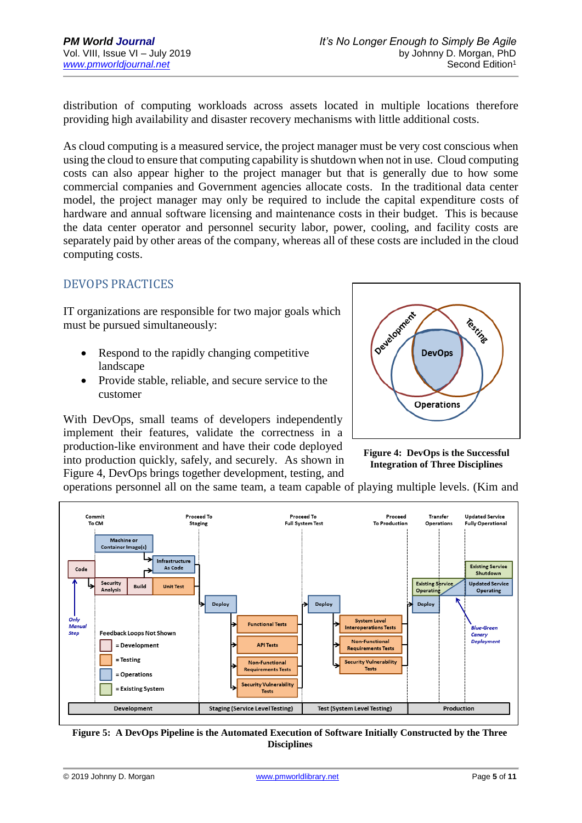distribution of computing workloads across assets located in multiple locations therefore providing high availability and disaster recovery mechanisms with little additional costs.

As cloud computing is a measured service, the project manager must be very cost conscious when using the cloud to ensure that computing capability is shutdown when not in use. Cloud computing costs can also appear higher to the project manager but that is generally due to how some commercial companies and Government agencies allocate costs. In the traditional data center model, the project manager may only be required to include the capital expenditure costs of hardware and annual software licensing and maintenance costs in their budget. This is because the data center operator and personnel security labor, power, cooling, and facility costs are separately paid by other areas of the company, whereas all of these costs are included in the cloud computing costs.

#### DEVOPS PRACTICES

IT organizations are responsible for two major goals which must be pursued simultaneously:

- Respond to the rapidly changing competitive landscape
- Provide stable, reliable, and secure service to the customer

With DevOps, small teams of developers independently implement their features, validate the correctness in a production-like environment and have their code deployed into production quickly, safely, and securely. As shown in Figure 4, DevOps brings together development, testing, and



**Figure 4: DevOps is the Successful Integration of Three Disciplines**

operations personnel all on the same team, a team capable of playing multiple levels. (Kim and



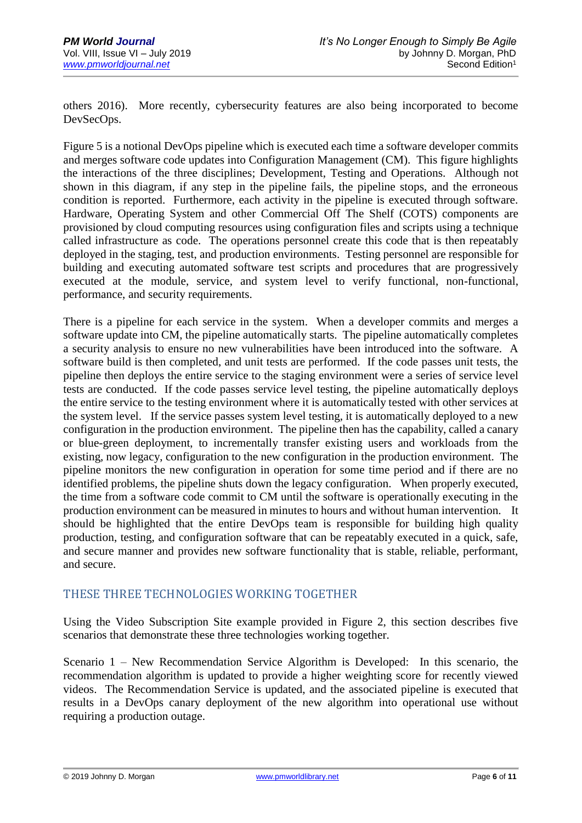others 2016). More recently, cybersecurity features are also being incorporated to become DevSecOps.

Figure 5 is a notional DevOps pipeline which is executed each time a software developer commits and merges software code updates into Configuration Management (CM). This figure highlights the interactions of the three disciplines; Development, Testing and Operations. Although not shown in this diagram, if any step in the pipeline fails, the pipeline stops, and the erroneous condition is reported. Furthermore, each activity in the pipeline is executed through software. Hardware, Operating System and other Commercial Off The Shelf (COTS) components are provisioned by cloud computing resources using configuration files and scripts using a technique called infrastructure as code. The operations personnel create this code that is then repeatably deployed in the staging, test, and production environments. Testing personnel are responsible for building and executing automated software test scripts and procedures that are progressively executed at the module, service, and system level to verify functional, non-functional, performance, and security requirements.

There is a pipeline for each service in the system. When a developer commits and merges a software update into CM, the pipeline automatically starts. The pipeline automatically completes a security analysis to ensure no new vulnerabilities have been introduced into the software. A software build is then completed, and unit tests are performed. If the code passes unit tests, the pipeline then deploys the entire service to the staging environment were a series of service level tests are conducted. If the code passes service level testing, the pipeline automatically deploys the entire service to the testing environment where it is automatically tested with other services at the system level. If the service passes system level testing, it is automatically deployed to a new configuration in the production environment. The pipeline then has the capability, called a canary or blue-green deployment, to incrementally transfer existing users and workloads from the existing, now legacy, configuration to the new configuration in the production environment. The pipeline monitors the new configuration in operation for some time period and if there are no identified problems, the pipeline shuts down the legacy configuration. When properly executed, the time from a software code commit to CM until the software is operationally executing in the production environment can be measured in minutes to hours and without human intervention. It should be highlighted that the entire DevOps team is responsible for building high quality production, testing, and configuration software that can be repeatably executed in a quick, safe, and secure manner and provides new software functionality that is stable, reliable, performant, and secure.

## THESE THREE TECHNOLOGIES WORKING TOGETHER

Using the Video Subscription Site example provided in Figure 2, this section describes five scenarios that demonstrate these three technologies working together.

Scenario 1 – New Recommendation Service Algorithm is Developed: In this scenario, the recommendation algorithm is updated to provide a higher weighting score for recently viewed videos. The Recommendation Service is updated, and the associated pipeline is executed that results in a DevOps canary deployment of the new algorithm into operational use without requiring a production outage.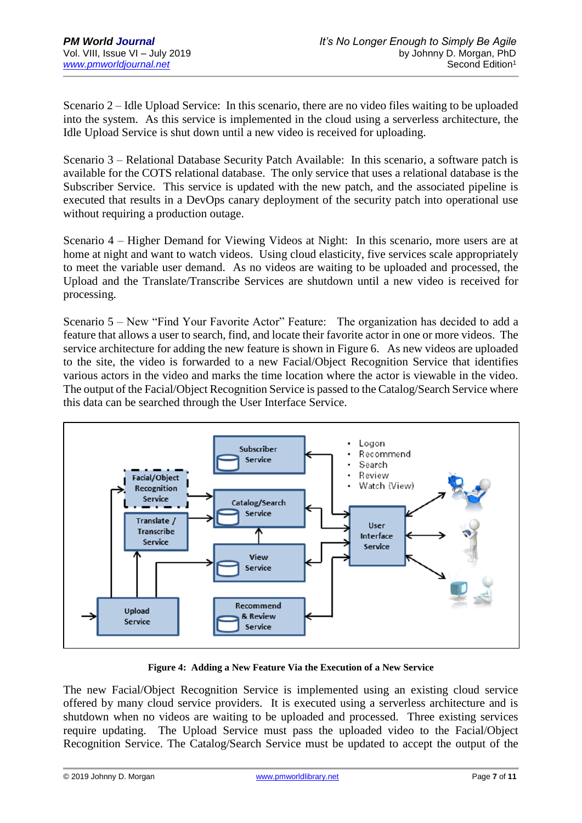Scenario 2 – Idle Upload Service: In this scenario, there are no video files waiting to be uploaded into the system. As this service is implemented in the cloud using a serverless architecture, the Idle Upload Service is shut down until a new video is received for uploading.

Scenario 3 – Relational Database Security Patch Available: In this scenario, a software patch is available for the COTS relational database. The only service that uses a relational database is the Subscriber Service. This service is updated with the new patch, and the associated pipeline is executed that results in a DevOps canary deployment of the security patch into operational use without requiring a production outage.

Scenario 4 – Higher Demand for Viewing Videos at Night: In this scenario, more users are at home at night and want to watch videos. Using cloud elasticity, five services scale appropriately to meet the variable user demand. As no videos are waiting to be uploaded and processed, the Upload and the Translate/Transcribe Services are shutdown until a new video is received for processing.

Scenario 5 – New "Find Your Favorite Actor" Feature: The organization has decided to add a feature that allows a user to search, find, and locate their favorite actor in one or more videos. The service architecture for adding the new feature is shown in Figure 6. As new videos are uploaded to the site, the video is forwarded to a new Facial/Object Recognition Service that identifies various actors in the video and marks the time location where the actor is viewable in the video. The output of the Facial/Object Recognition Service is passed to the Catalog/Search Service where this data can be searched through the User Interface Service.



**Figure 4: Adding a New Feature Via the Execution of a New Service**

The new Facial/Object Recognition Service is implemented using an existing cloud service offered by many cloud service providers. It is executed using a serverless architecture and is shutdown when no videos are waiting to be uploaded and processed. Three existing services require updating. The Upload Service must pass the uploaded video to the Facial/Object Recognition Service. The Catalog/Search Service must be updated to accept the output of the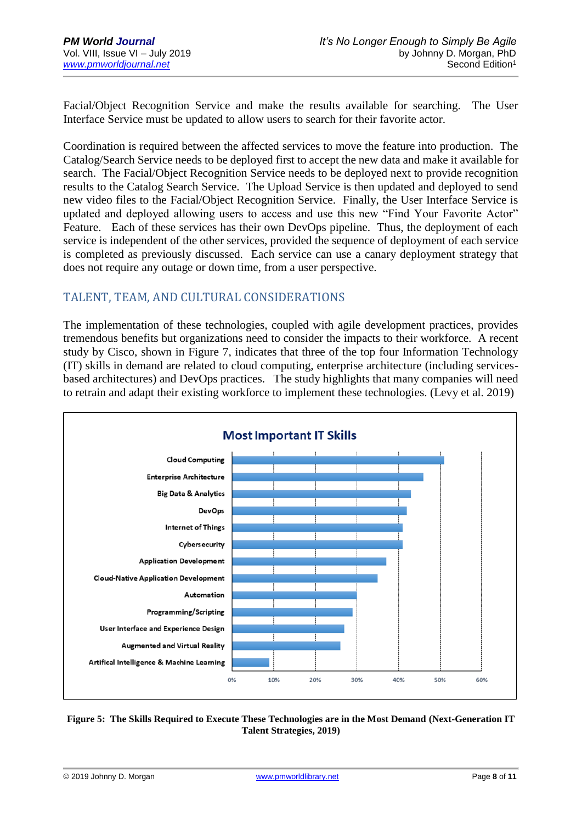Facial/Object Recognition Service and make the results available for searching. The User Interface Service must be updated to allow users to search for their favorite actor.

Coordination is required between the affected services to move the feature into production. The Catalog/Search Service needs to be deployed first to accept the new data and make it available for search. The Facial/Object Recognition Service needs to be deployed next to provide recognition results to the Catalog Search Service. The Upload Service is then updated and deployed to send new video files to the Facial/Object Recognition Service. Finally, the User Interface Service is updated and deployed allowing users to access and use this new "Find Your Favorite Actor" Feature. Each of these services has their own DevOps pipeline. Thus, the deployment of each service is independent of the other services, provided the sequence of deployment of each service is completed as previously discussed. Each service can use a canary deployment strategy that does not require any outage or down time, from a user perspective.

#### TALENT, TEAM, AND CULTURAL CONSIDERATIONS

The implementation of these technologies, coupled with agile development practices, provides tremendous benefits but organizations need to consider the impacts to their workforce. A recent study by Cisco, shown in Figure 7, indicates that three of the top four Information Technology (IT) skills in demand are related to cloud computing, enterprise architecture (including servicesbased architectures) and DevOps practices. The study highlights that many companies will need to retrain and adapt their existing workforce to implement these technologies. (Levy et al. 2019)



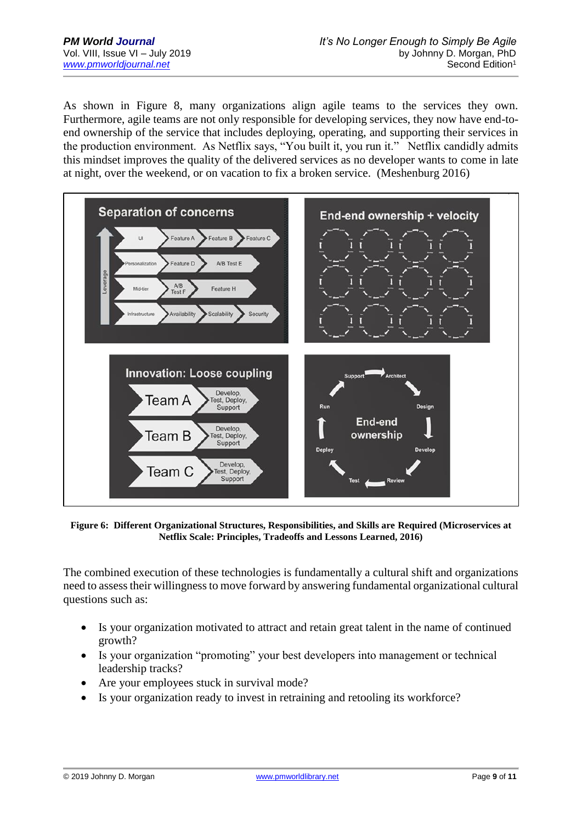As shown in Figure 8, many organizations align agile teams to the services they own. Furthermore, agile teams are not only responsible for developing services, they now have end-toend ownership of the service that includes deploying, operating, and supporting their services in the production environment. As Netflix says, "You built it, you run it." Netflix candidly admits this mindset improves the quality of the delivered services as no developer wants to come in late at night, over the weekend, or on vacation to fix a broken service. (Meshenburg 2016)



**Figure 6: Different Organizational Structures, Responsibilities, and Skills are Required (Microservices at Netflix Scale: Principles, Tradeoffs and Lessons Learned, 2016)**

The combined execution of these technologies is fundamentally a cultural shift and organizations need to assess their willingness to move forward by answering fundamental organizational cultural questions such as:

- Is your organization motivated to attract and retain great talent in the name of continued growth?
- Is your organization "promoting" your best developers into management or technical leadership tracks?
- Are your employees stuck in survival mode?
- Is your organization ready to invest in retraining and retooling its workforce?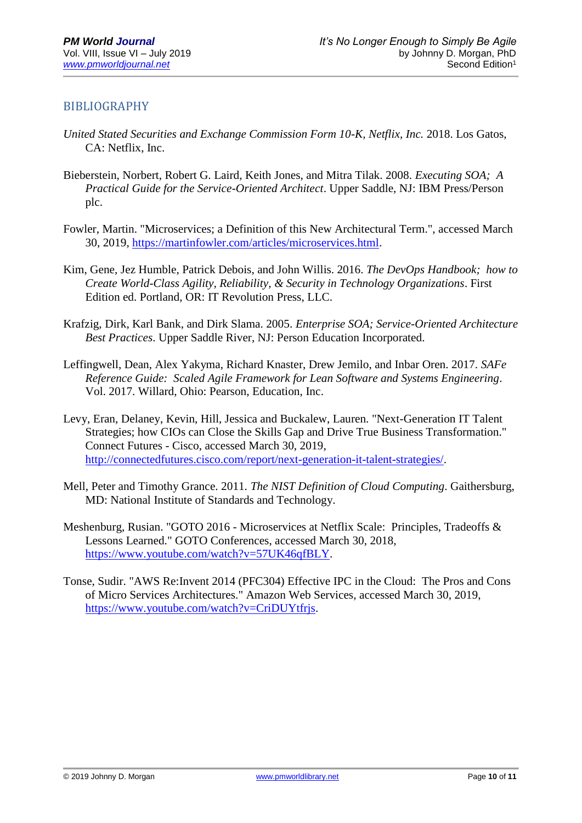#### BIBLIOGRAPHY

- *United Stated Securities and Exchange Commission Form 10-K, Netflix, Inc.* 2018. Los Gatos, CA: Netflix, Inc.
- Bieberstein, Norbert, Robert G. Laird, Keith Jones, and Mitra Tilak. 2008. *Executing SOA; A Practical Guide for the Service-Oriented Architect*. Upper Saddle, NJ: IBM Press/Person plc.
- Fowler, Martin. "Microservices; a Definition of this New Architectural Term.", accessed March 30, 2019, [https://martinfowler.com/articles/microservices.html.](https://martinfowler.com/articles/microservices.html)
- Kim, Gene, Jez Humble, Patrick Debois, and John Willis. 2016. *The DevOps Handbook; how to Create World-Class Agility, Reliability, & Security in Technology Organizations*. First Edition ed. Portland, OR: IT Revolution Press, LLC.
- Krafzig, Dirk, Karl Bank, and Dirk Slama. 2005. *Enterprise SOA; Service-Oriented Architecture Best Practices*. Upper Saddle River, NJ: Person Education Incorporated.
- Leffingwell, Dean, Alex Yakyma, Richard Knaster, Drew Jemilo, and Inbar Oren. 2017. *SAFe Reference Guide: Scaled Agile Framework for Lean Software and Systems Engineering*. Vol. 2017. Willard, Ohio: Pearson, Education, Inc.
- Levy, Eran, Delaney, Kevin, Hill, Jessica and Buckalew, Lauren. "Next-Generation IT Talent Strategies; how CIOs can Close the Skills Gap and Drive True Business Transformation." Connect Futures - Cisco, accessed March 30, 2019, [http://connectedfutures.cisco.com/report/next-generation-it-talent-strategies/.](http://connectedfutures.cisco.com/report/next-generation-it-talent-strategies/)
- Mell, Peter and Timothy Grance. 2011*. The NIST Definition of Cloud Computing*. Gaithersburg, MD: National Institute of Standards and Technology.
- Meshenburg, Rusian. "GOTO 2016 Microservices at Netflix Scale: Principles, Tradeoffs & Lessons Learned." GOTO Conferences, accessed March 30, 2018, [https://www.youtube.com/watch?v=57UK46qfBLY.](https://www.youtube.com/watch?v=57UK46qfBLY)
- Tonse, Sudir. "AWS Re:Invent 2014 (PFC304) Effective IPC in the Cloud: The Pros and Cons of Micro Services Architectures." Amazon Web Services, accessed March 30, 2019, [https://www.youtube.com/watch?v=CriDUYtfrjs.](https://www.youtube.com/watch?v=CriDUYtfrjs)